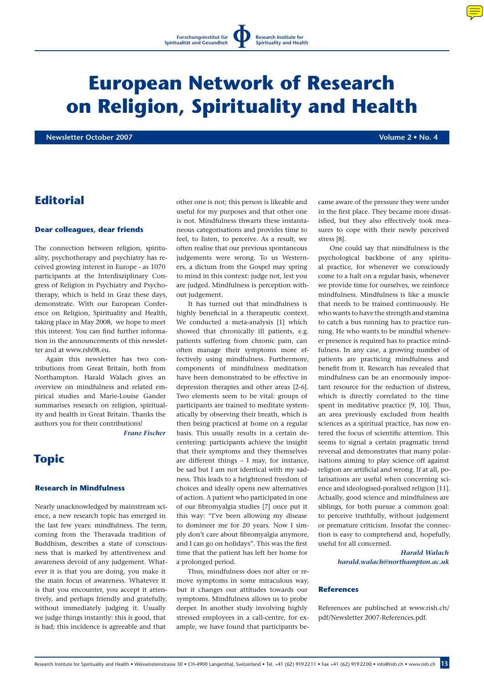# **European Network of Research on Religion, Spirituality and Health**

**Newsletter October 2007 Volume 2 • No. 4**

# **Editorial**

#### **Dear colleagues, dear friends**

The connection between religion, spirituality, psychotherapy and psychiatry has received growing interest in Europe - as 1070 participants at the Interdisziplinary Congress of Religion in Psychiatry and Psychotherapy, which is held in Graz these days, demonstrate. With our European Conference on Religion, Spirituality and Health, taking place in May 2008, we hope to meet this interest. You can find further information in the announcements of this newsletter and at www.rsh08.eu.

Again this newsletter has two contributions from Great Britain, both from Northampton. Harald Walach gives an overview on mindfulness and related empirical studies and Marie-Louise Gander summarises research on religion, spirituality and health in Great Britain. Thanks the authors you for their contributions!

*Franz Fischer*

# **Topic**

#### **Research in Mindfulness**

Nearly unacknowledged by mainstream science, a new research topic has emerged in the last few years: mindfulness. The term, coming from the Theravada tradition of Buddhism, describes a state of consciousness that is marked by attentiveness and awareness devoid of any judgement. Whatever it is that you are doing, you make it the main focus of awareness. Whatever it is that you encounter, you accept it attentively, and perhaps friendly and gratefully, without immediately judging it. Usually we judge things instantly: this is good, that is bad; this incidence is agreeable and that

other one is not; this person is likeable and useful for my purposes and that other one is not. Mindfulness thwarts these instantaneous categorisations and provides time to feel, to listen, to perceive. As a result, we often realise that our previous spontaneous judgements were wrong. To us Westerners, a dictum from the Gospel may spring to mind in this context: judge not, lest you are judged. Mindfulness is perception without judgement.

It has turned out that mindfulness is highly beneficial in a therapeutic context. We conducted a meta-analysis [1] which showed that chronically ill patients, e.g. patients suffering from chronic pain, can often manage their symptoms more effectively using mindfulness. Furthermore, components of mindfulness meditation have been demonstrated to be effective in depression therapies and other areas [2-6]. Two elements seem to be vital: groups of participants are trained to meditate systematically by observing their breath, which is then being practiced at home on a regular basis. This usually results in a certain decentering: participants achieve the insight that their symptoms and they themselves are different things – I may, for instance, be sad but I am not identical with my sadness. This leads to a heightened freedom of choices and ideally opens new alternatives of action. A patient who participated in one of our fibromyalgia studies [7] once put it this way: "I've been allowing my disease to domineer me for 20 years. Now I simply don't care about fibromyalgia anymore, and I can go on holidays". This was the first time that the patient has left her home for a prolonged period.

Thus, mindfulness does not alter or remove symptoms in some miraculous way, but it changes our attitudes towards our symptoms. Mindfulness allows us to probe deeper. In another study involving highly stressed employees in a call-centre, for example, we have found that participants became aware of the pressure they were under in the first place. They became more dissatisfied, but they also effectively took measures to cope with their newly perceived stress [8].

One could say that mindfulness is the psychological backbone of any spiritual practice, for whenever we consciously come to a halt on a regular basis, whenever we provide time for ourselves, we reinforce mindfulness. Mindfulness is like a muscle that needs to be trained continuously. He who wants to have the strength and stamina to catch a bus running has to practice running. He who wants to be mindful whenever presence is required has to practice mindfulness. In any case, a growing number of patients are practicing mindfulness and benefit from it. Research has revealed that mindfulness can be an enormously important resource for the reduction of distress, which is directly correlated to the time spent in meditative practice [9, 10]. Thus, an area previously excluded from health sciences as a spiritual practice, has now entered the focus of scientific attention. This seems to signal a certain pragmatic trend reversal and demonstrates that many polarisations aiming to play science off against religion are artificial and wrong. If at all, polarisations are useful when concerning science and ideologised-poralised religion [11]. Actually, good science and mindfulness are siblings, for both pursue a common goal: to perceive truthfully, without judgement or premature criticism. Insofar the connection is easy to comprehend and, hopefully, useful for all concerned.

> *Harald Walach harald.walach@northampton.ac.uk*

#### **References**

References are publisched at www.rish.ch/ pdf/Newsletter 2007-References.pdf.